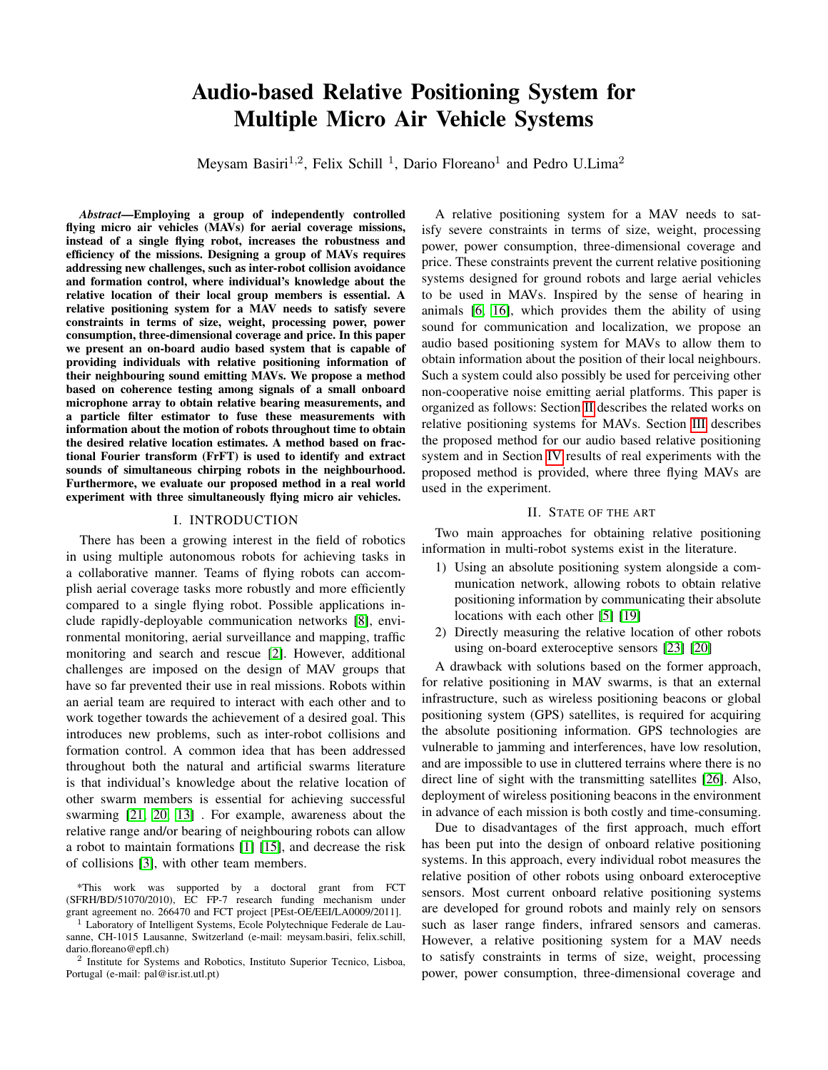# Audio-based Relative Positioning System for Multiple Micro Air Vehicle Systems

Meysam Basiri<sup>1,2</sup>, Felix Schill<sup>1</sup>, Dario Floreano<sup>1</sup> and Pedro U.Lima<sup>2</sup>

*Abstract*—Employing a group of independently controlled flying micro air vehicles (MAVs) for aerial coverage missions, instead of a single flying robot, increases the robustness and efficiency of the missions. Designing a group of MAVs requires addressing new challenges, such as inter-robot collision avoidance and formation control, where individual's knowledge about the relative location of their local group members is essential. A relative positioning system for a MAV needs to satisfy severe constraints in terms of size, weight, processing power, power consumption, three-dimensional coverage and price. In this paper we present an on-board audio based system that is capable of providing individuals with relative positioning information of their neighbouring sound emitting MAVs. We propose a method based on coherence testing among signals of a small onboard microphone array to obtain relative bearing measurements, and a particle filter estimator to fuse these measurements with information about the motion of robots throughout time to obtain the desired relative location estimates. A method based on fractional Fourier transform (FrFT) is used to identify and extract sounds of simultaneous chirping robots in the neighbourhood. Furthermore, we evaluate our proposed method in a real world experiment with three simultaneously flying micro air vehicles.

# I. INTRODUCTION

There has been a growing interest in the field of robotics in using multiple autonomous robots for achieving tasks in a collaborative manner. Teams of flying robots can accomplish aerial coverage tasks more robustly and more efficiently compared to a single flying robot. Possible applications include rapidly-deployable communication networks [\[8\]](#page-7-0), environmental monitoring, aerial surveillance and mapping, traffic monitoring and search and rescue [\[2\]](#page-6-0). However, additional challenges are imposed on the design of MAV groups that have so far prevented their use in real missions. Robots within an aerial team are required to interact with each other and to work together towards the achievement of a desired goal. This introduces new problems, such as inter-robot collisions and formation control. A common idea that has been addressed throughout both the natural and artificial swarms literature is that individual's knowledge about the relative location of other swarm members is essential for achieving successful swarming [\[21,](#page-7-1) [20,](#page-7-2) [13\]](#page-7-3) . For example, awareness about the relative range and/or bearing of neighbouring robots can allow a robot to maintain formations [\[1\]](#page-6-1) [\[15\]](#page-7-4), and decrease the risk of collisions [\[3\]](#page-6-2), with other team members.

A relative positioning system for a MAV needs to satisfy severe constraints in terms of size, weight, processing power, power consumption, three-dimensional coverage and price. These constraints prevent the current relative positioning systems designed for ground robots and large aerial vehicles to be used in MAVs. Inspired by the sense of hearing in animals [\[6,](#page-6-3) [16\]](#page-7-5), which provides them the ability of using sound for communication and localization, we propose an audio based positioning system for MAVs to allow them to obtain information about the position of their local neighbours. Such a system could also possibly be used for perceiving other non-cooperative noise emitting aerial platforms. This paper is organized as follows: Section [II](#page-0-0) describes the related works on relative positioning systems for MAVs. Section [III](#page-1-0) describes the proposed method for our audio based relative positioning system and in Section [IV](#page-5-0) results of real experiments with the proposed method is provided, where three flying MAVs are used in the experiment.

# II. STATE OF THE ART

<span id="page-0-0"></span>Two main approaches for obtaining relative positioning information in multi-robot systems exist in the literature.

- 1) Using an absolute positioning system alongside a communication network, allowing robots to obtain relative positioning information by communicating their absolute locations with each other [\[5\]](#page-6-4) [\[19\]](#page-7-6)
- 2) Directly measuring the relative location of other robots using on-board exteroceptive sensors [\[23\]](#page-7-7) [\[20\]](#page-7-2)

A drawback with solutions based on the former approach, for relative positioning in MAV swarms, is that an external infrastructure, such as wireless positioning beacons or global positioning system (GPS) satellites, is required for acquiring the absolute positioning information. GPS technologies are vulnerable to jamming and interferences, have low resolution, and are impossible to use in cluttered terrains where there is no direct line of sight with the transmitting satellites [\[26\]](#page-7-8). Also, deployment of wireless positioning beacons in the environment in advance of each mission is both costly and time-consuming.

Due to disadvantages of the first approach, much effort has been put into the design of onboard relative positioning systems. In this approach, every individual robot measures the relative position of other robots using onboard exteroceptive sensors. Most current onboard relative positioning systems are developed for ground robots and mainly rely on sensors such as laser range finders, infrared sensors and cameras. However, a relative positioning system for a MAV needs to satisfy constraints in terms of size, weight, processing power, power consumption, three-dimensional coverage and

<sup>\*</sup>This work was supported by a doctoral grant from FCT (SFRH/BD/51070/2010), EC FP-7 research funding mechanism under grant agreement no. 266470 and FCT project [PEst-OE/EEI/LA0009/2011].

<sup>&</sup>lt;sup>1</sup> Laboratory of Intelligent Systems, Ecole Polytechnique Federale de Lausanne, CH-1015 Lausanne, Switzerland (e-mail: meysam.basiri, felix.schill, dario.floreano@epfl.ch)

<sup>2</sup> Institute for Systems and Robotics, Instituto Superior Tecnico, Lisboa, Portugal (e-mail: pal@isr.ist.utl.pt)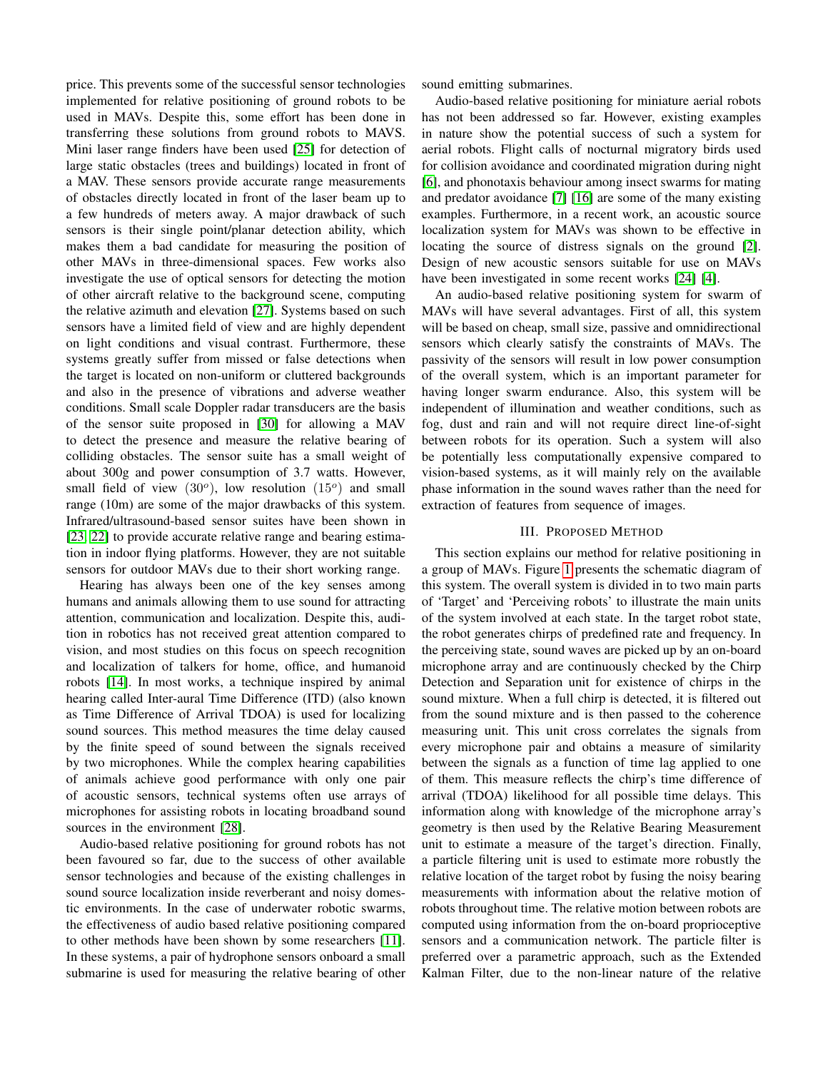price. This prevents some of the successful sensor technologies implemented for relative positioning of ground robots to be used in MAVs. Despite this, some effort has been done in transferring these solutions from ground robots to MAVS. Mini laser range finders have been used [\[25\]](#page-7-9) for detection of large static obstacles (trees and buildings) located in front of a MAV. These sensors provide accurate range measurements of obstacles directly located in front of the laser beam up to a few hundreds of meters away. A major drawback of such sensors is their single point/planar detection ability, which makes them a bad candidate for measuring the position of other MAVs in three-dimensional spaces. Few works also investigate the use of optical sensors for detecting the motion of other aircraft relative to the background scene, computing the relative azimuth and elevation [\[27\]](#page-7-10). Systems based on such sensors have a limited field of view and are highly dependent on light conditions and visual contrast. Furthermore, these systems greatly suffer from missed or false detections when the target is located on non-uniform or cluttered backgrounds and also in the presence of vibrations and adverse weather conditions. Small scale Doppler radar transducers are the basis of the sensor suite proposed in [\[30\]](#page-7-11) for allowing a MAV to detect the presence and measure the relative bearing of colliding obstacles. The sensor suite has a small weight of about 300g and power consumption of 3.7 watts. However, small field of view  $(30^{\circ})$ , low resolution  $(15^{\circ})$  and small range (10m) are some of the major drawbacks of this system. Infrared/ultrasound-based sensor suites have been shown in [\[23,](#page-7-7) [22\]](#page-7-12) to provide accurate relative range and bearing estimation in indoor flying platforms. However, they are not suitable sensors for outdoor MAVs due to their short working range.

Hearing has always been one of the key senses among humans and animals allowing them to use sound for attracting attention, communication and localization. Despite this, audition in robotics has not received great attention compared to vision, and most studies on this focus on speech recognition and localization of talkers for home, office, and humanoid robots [\[14\]](#page-7-13). In most works, a technique inspired by animal hearing called Inter-aural Time Difference (ITD) (also known as Time Difference of Arrival TDOA) is used for localizing sound sources. This method measures the time delay caused by the finite speed of sound between the signals received by two microphones. While the complex hearing capabilities of animals achieve good performance with only one pair of acoustic sensors, technical systems often use arrays of microphones for assisting robots in locating broadband sound sources in the environment [\[28\]](#page-7-14).

Audio-based relative positioning for ground robots has not been favoured so far, due to the success of other available sensor technologies and because of the existing challenges in sound source localization inside reverberant and noisy domestic environments. In the case of underwater robotic swarms, the effectiveness of audio based relative positioning compared to other methods have been shown by some researchers [\[11\]](#page-7-15). In these systems, a pair of hydrophone sensors onboard a small submarine is used for measuring the relative bearing of other sound emitting submarines.

Audio-based relative positioning for miniature aerial robots has not been addressed so far. However, existing examples in nature show the potential success of such a system for aerial robots. Flight calls of nocturnal migratory birds used for collision avoidance and coordinated migration during night [\[6\]](#page-6-3), and phonotaxis behaviour among insect swarms for mating and predator avoidance [\[7\]](#page-7-16) [\[16\]](#page-7-5) are some of the many existing examples. Furthermore, in a recent work, an acoustic source localization system for MAVs was shown to be effective in locating the source of distress signals on the ground [\[2\]](#page-6-0). Design of new acoustic sensors suitable for use on MAVs have been investigated in some recent works [\[24\]](#page-7-17) [\[4\]](#page-6-5).

An audio-based relative positioning system for swarm of MAVs will have several advantages. First of all, this system will be based on cheap, small size, passive and omnidirectional sensors which clearly satisfy the constraints of MAVs. The passivity of the sensors will result in low power consumption of the overall system, which is an important parameter for having longer swarm endurance. Also, this system will be independent of illumination and weather conditions, such as fog, dust and rain and will not require direct line-of-sight between robots for its operation. Such a system will also be potentially less computationally expensive compared to vision-based systems, as it will mainly rely on the available phase information in the sound waves rather than the need for extraction of features from sequence of images.

## III. PROPOSED METHOD

<span id="page-1-0"></span>This section explains our method for relative positioning in a group of MAVs. Figure [1](#page-2-0) presents the schematic diagram of this system. The overall system is divided in to two main parts of 'Target' and 'Perceiving robots' to illustrate the main units of the system involved at each state. In the target robot state, the robot generates chirps of predefined rate and frequency. In the perceiving state, sound waves are picked up by an on-board microphone array and are continuously checked by the Chirp Detection and Separation unit for existence of chirps in the sound mixture. When a full chirp is detected, it is filtered out from the sound mixture and is then passed to the coherence measuring unit. This unit cross correlates the signals from every microphone pair and obtains a measure of similarity between the signals as a function of time lag applied to one of them. This measure reflects the chirp's time difference of arrival (TDOA) likelihood for all possible time delays. This information along with knowledge of the microphone array's geometry is then used by the Relative Bearing Measurement unit to estimate a measure of the target's direction. Finally, a particle filtering unit is used to estimate more robustly the relative location of the target robot by fusing the noisy bearing measurements with information about the relative motion of robots throughout time. The relative motion between robots are computed using information from the on-board proprioceptive sensors and a communication network. The particle filter is preferred over a parametric approach, such as the Extended Kalman Filter, due to the non-linear nature of the relative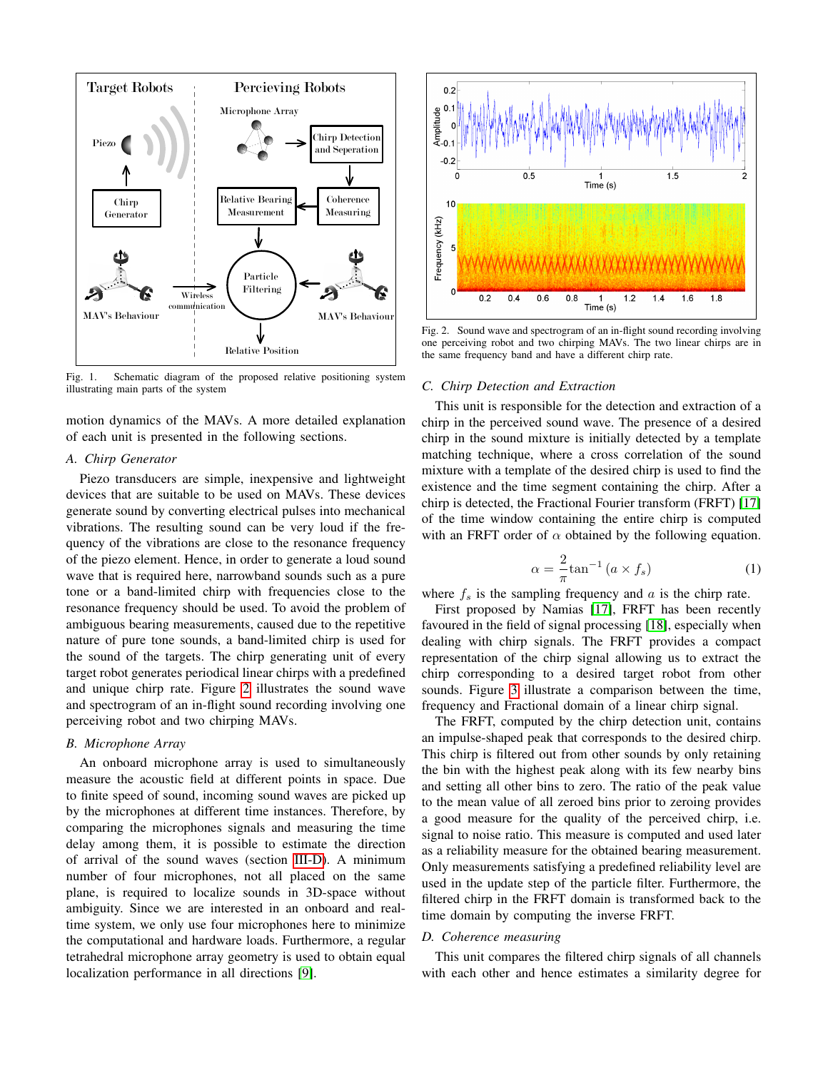

<span id="page-2-0"></span>Fig. 1. Schematic diagram of the proposed relative positioning system illustrating main parts of the system

motion dynamics of the MAVs. A more detailed explanation of each unit is presented in the following sections.

## *A. Chirp Generator*

Piezo transducers are simple, inexpensive and lightweight devices that are suitable to be used on MAVs. These devices generate sound by converting electrical pulses into mechanical vibrations. The resulting sound can be very loud if the frequency of the vibrations are close to the resonance frequency of the piezo element. Hence, in order to generate a loud sound wave that is required here, narrowband sounds such as a pure tone or a band-limited chirp with frequencies close to the resonance frequency should be used. To avoid the problem of ambiguous bearing measurements, caused due to the repetitive nature of pure tone sounds, a band-limited chirp is used for the sound of the targets. The chirp generating unit of every target robot generates periodical linear chirps with a predefined and unique chirp rate. Figure [2](#page-2-1) illustrates the sound wave and spectrogram of an in-flight sound recording involving one perceiving robot and two chirping MAVs.

## *B. Microphone Array*

An onboard microphone array is used to simultaneously measure the acoustic field at different points in space. Due to finite speed of sound, incoming sound waves are picked up by the microphones at different time instances. Therefore, by comparing the microphones signals and measuring the time delay among them, it is possible to estimate the direction of arrival of the sound waves (section [III-D\)](#page-2-2). A minimum number of four microphones, not all placed on the same plane, is required to localize sounds in 3D-space without ambiguity. Since we are interested in an onboard and realtime system, we only use four microphones here to minimize the computational and hardware loads. Furthermore, a regular tetrahedral microphone array geometry is used to obtain equal localization performance in all directions [\[9\]](#page-7-18).



<span id="page-2-1"></span>Fig. 2. Sound wave and spectrogram of an in-flight sound recording involving one perceiving robot and two chirping MAVs. The two linear chirps are in the same frequency band and have a different chirp rate.

#### <span id="page-2-3"></span>*C. Chirp Detection and Extraction*

This unit is responsible for the detection and extraction of a chirp in the perceived sound wave. The presence of a desired chirp in the sound mixture is initially detected by a template matching technique, where a cross correlation of the sound mixture with a template of the desired chirp is used to find the existence and the time segment containing the chirp. After a chirp is detected, the Fractional Fourier transform (FRFT) [\[17\]](#page-7-19) of the time window containing the entire chirp is computed with an FRFT order of  $\alpha$  obtained by the following equation.

$$
\alpha = \frac{2}{\pi} \tan^{-1} \left( a \times f_s \right) \tag{1}
$$

where  $f_s$  is the sampling frequency and  $\alpha$  is the chirp rate.

First proposed by Namias [\[17\]](#page-7-19), FRFT has been recently favoured in the field of signal processing [\[18\]](#page-7-20), especially when dealing with chirp signals. The FRFT provides a compact representation of the chirp signal allowing us to extract the chirp corresponding to a desired target robot from other sounds. Figure [3](#page-3-0) illustrate a comparison between the time, frequency and Fractional domain of a linear chirp signal.

The FRFT, computed by the chirp detection unit, contains an impulse-shaped peak that corresponds to the desired chirp. This chirp is filtered out from other sounds by only retaining the bin with the highest peak along with its few nearby bins and setting all other bins to zero. The ratio of the peak value to the mean value of all zeroed bins prior to zeroing provides a good measure for the quality of the perceived chirp, i.e. signal to noise ratio. This measure is computed and used later as a reliability measure for the obtained bearing measurement. Only measurements satisfying a predefined reliability level are used in the update step of the particle filter. Furthermore, the filtered chirp in the FRFT domain is transformed back to the time domain by computing the inverse FRFT.

#### <span id="page-2-2"></span>*D. Coherence measuring*

This unit compares the filtered chirp signals of all channels with each other and hence estimates a similarity degree for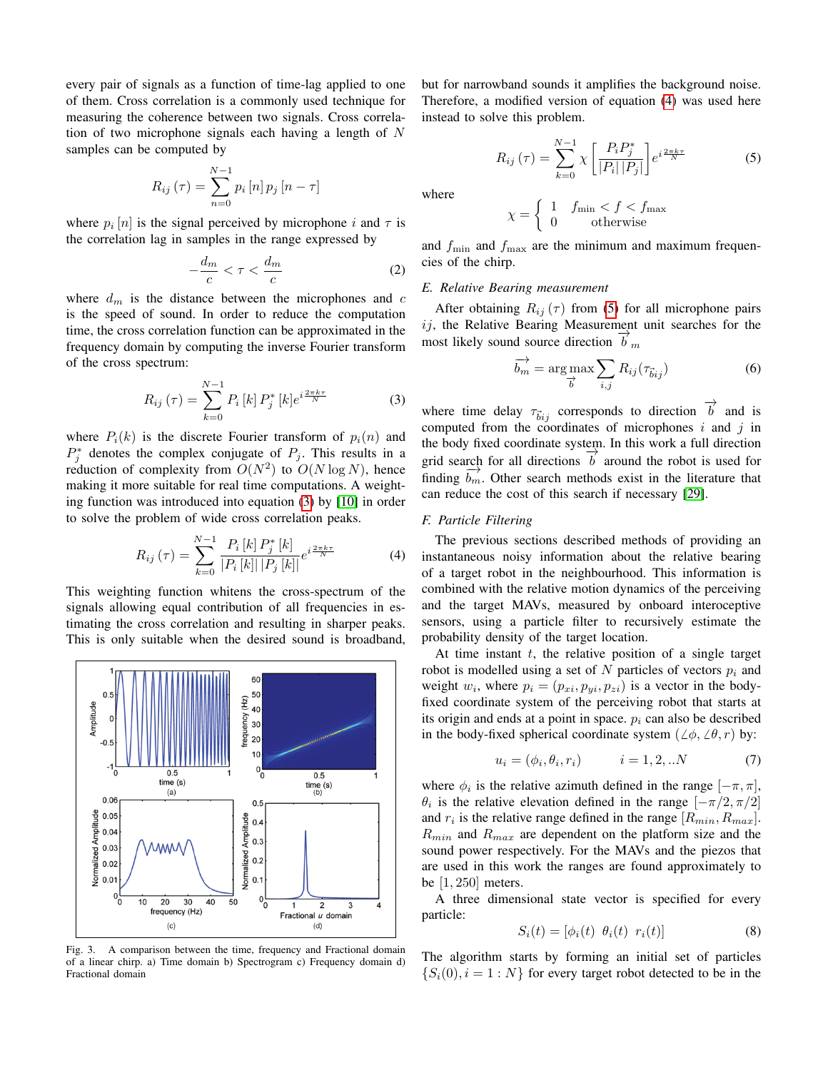every pair of signals as a function of time-lag applied to one of them. Cross correlation is a commonly used technique for measuring the coherence between two signals. Cross correlation of two microphone signals each having a length of  $N$ samples can be computed by

$$
R_{ij}(\tau) = \sum_{n=0}^{N-1} p_i [n] p_j [n - \tau]
$$

where  $p_i[n]$  is the signal perceived by microphone i and  $\tau$  is the correlation lag in samples in the range expressed by

$$
-\frac{d_m}{c} < \tau < \frac{d_m}{c} \tag{2}
$$

where  $d_m$  is the distance between the microphones and  $c$ is the speed of sound. In order to reduce the computation time, the cross correlation function can be approximated in the frequency domain by computing the inverse Fourier transform of the cross spectrum:

<span id="page-3-1"></span>
$$
R_{ij}(\tau) = \sum_{k=0}^{N-1} P_i[k] P_j^* [k] e^{i\frac{2\pi k\tau}{N}}
$$
 (3)

where  $P_i(k)$  is the discrete Fourier transform of  $p_i(n)$  and  $P_j^*$  denotes the complex conjugate of  $P_j$ . This results in a reduction of complexity from  $O(N^2)$  to  $O(N \log N)$ , hence making it more suitable for real time computations. A weighting function was introduced into equation [\(3\)](#page-3-1) by [\[10\]](#page-7-21) in order to solve the problem of wide cross correlation peaks.

$$
R_{ij}(\tau) = \sum_{k=0}^{N-1} \frac{P_i [k] P_j^* [k]}{|P_i [k]|P_j [k]|} e^{i \frac{2\pi k \tau}{N}}
$$
(4)

This weighting function whitens the cross-spectrum of the signals allowing equal contribution of all frequencies in estimating the cross correlation and resulting in sharper peaks. This is only suitable when the desired sound is broadband,



<span id="page-3-0"></span>Fig. 3. A comparison between the time, frequency and Fractional domain of a linear chirp. a) Time domain b) Spectrogram c) Frequency domain d) Fractional domain

<span id="page-3-3"></span>but for narrowband sounds it amplifies the background noise. Therefore, a modified version of equation [\(4\)](#page-3-2) was used here instead to solve this problem.

$$
R_{ij}(\tau) = \sum_{k=0}^{N-1} \chi \left[ \frac{P_i P_j^*}{|P_i| |P_j|} \right] e^{i \frac{2\pi k \tau}{N}}
$$
(5)

where

$$
\chi = \left\{ \begin{array}{ll} 1 & f_{\min} < f < f_{\max} \\ 0 & \mathrm{otherwise} \end{array} \right.
$$

and  $f_{\text{min}}$  and  $f_{\text{max}}$  are the minimum and maximum frequencies of the chirp.

# *E. Relative Bearing measurement*

After obtaining  $R_{ij}(\tau)$  from [\(5\)](#page-3-3) for all microphone pairs  $ij$ , the Relative Bearing Measurement unit searches for the  $\frac{u}{b}$ , the Kelative Beamg Measurement<br>most likely sound source direction  $\overrightarrow{b}_m$ 

$$
\overrightarrow{b_m} = \underset{\overrightarrow{b}}{\arg \max} \sum_{i,j} R_{ij}(\tau_{\overrightarrow{b}ij})
$$
 (6)

where time delay  $\tau_{bij}$  corresponds to direction  $\overrightarrow{b}$  and is computed from the coordinates of microphones  $i$  and  $j$  in the body fixed coordinate system. In this work a full direction grid search for all directions  $\overrightarrow{b}$  around the robot is used for finding  $\overrightarrow{b_m}$ . Other search methods exist in the literature that can reduce the cost of this search if necessary [\[29\]](#page-7-22).

## <span id="page-3-2"></span>*F. Particle Filtering*

The previous sections described methods of providing an instantaneous noisy information about the relative bearing of a target robot in the neighbourhood. This information is combined with the relative motion dynamics of the perceiving and the target MAVs, measured by onboard interoceptive sensors, using a particle filter to recursively estimate the probability density of the target location.

At time instant  $t$ , the relative position of a single target robot is modelled using a set of N particles of vectors  $p_i$  and weight  $w_i$ , where  $p_i = (p_{xi}, p_{yi}, p_{zi})$  is a vector in the bodyfixed coordinate system of the perceiving robot that starts at its origin and ends at a point in space.  $p_i$  can also be described in the body-fixed spherical coordinate system ( $\angle \phi$ ,  $\angle \theta$ , r) by:

$$
u_i = (\phi_i, \theta_i, r_i) \qquad i = 1, 2, ...N \tag{7}
$$

where  $\phi_i$  is the relative azimuth defined in the range  $[-\pi, \pi]$ ,  $\theta_i$  is the relative elevation defined in the range  $[-\pi/2, \pi/2]$ and  $r_i$  is the relative range defined in the range  $[R_{min}, R_{max}]$ .  $R_{min}$  and  $R_{max}$  are dependent on the platform size and the sound power respectively. For the MAVs and the piezos that are used in this work the ranges are found approximately to be [1, 250] meters.

A three dimensional state vector is specified for every particle:

$$
S_i(t) = [\phi_i(t) \ \theta_i(t) \ r_i(t)] \tag{8}
$$

The algorithm starts by forming an initial set of particles  $\{S_i(0), i = 1 : N\}$  for every target robot detected to be in the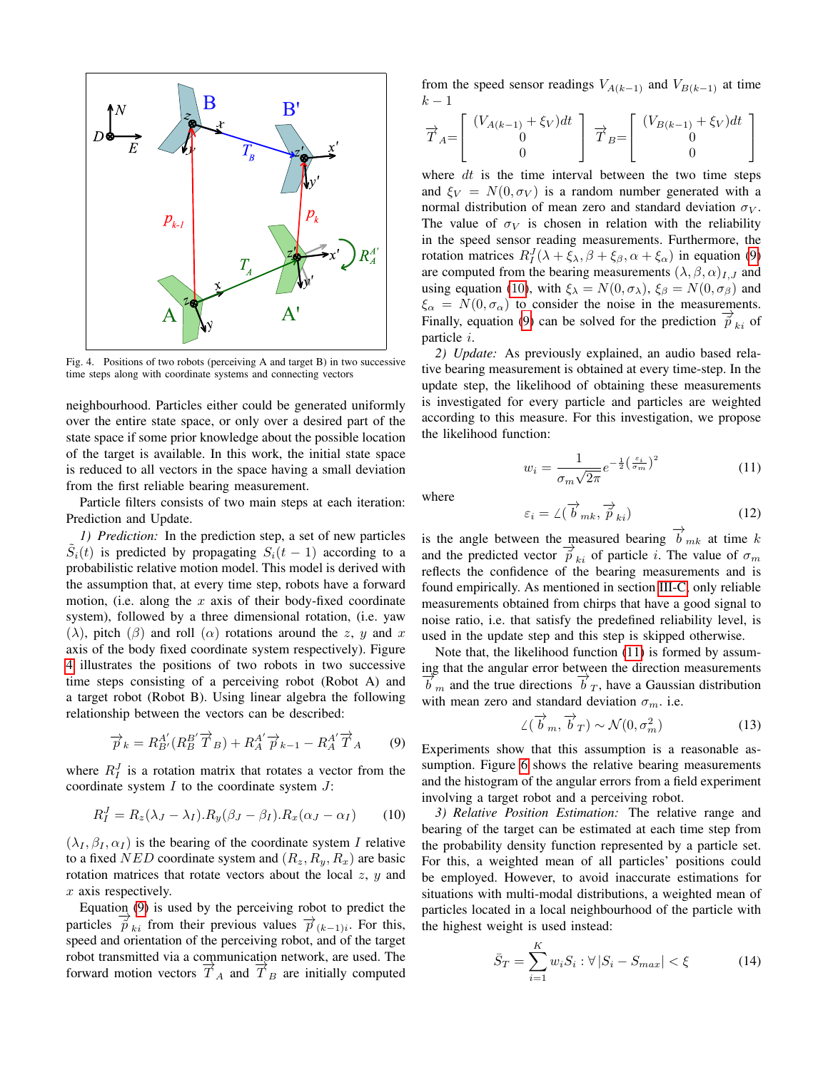

<span id="page-4-0"></span>Fig. 4. Positions of two robots (perceiving A and target B) in two successive time steps along with coordinate systems and connecting vectors

neighbourhood. Particles either could be generated uniformly over the entire state space, or only over a desired part of the state space if some prior knowledge about the possible location of the target is available. In this work, the initial state space is reduced to all vectors in the space having a small deviation from the first reliable bearing measurement.

Particle filters consists of two main steps at each iteration: Prediction and Update.

*1) Prediction:* In the prediction step, a set of new particles  $\tilde{S}_i(t)$  is predicted by propagating  $S_i(t-1)$  according to a probabilistic relative motion model. This model is derived with the assumption that, at every time step, robots have a forward motion, (i.e. along the  $x$  axis of their body-fixed coordinate system), followed by a three dimensional rotation, (i.e. yaw ( $\lambda$ ), pitch ( $\beta$ ) and roll ( $\alpha$ ) rotations around the z, y and x axis of the body fixed coordinate system respectively). Figure [4](#page-4-0) illustrates the positions of two robots in two successive time steps consisting of a perceiving robot (Robot A) and a target robot (Robot B). Using linear algebra the following relationship between the vectors can be described:

$$
\overrightarrow{p}_k = R_{B'}^{A'} (R_B^{B'} \overrightarrow{T}_B) + R_A^{A'} \overrightarrow{p}_{k-1} - R_A^{A'} \overrightarrow{T}_A \tag{9}
$$

where  $R_I^J$  is a rotation matrix that rotates a vector from the coordinate system  $I$  to the coordinate system  $J$ :

$$
R_I^J = R_z(\lambda_J - \lambda_I).R_y(\beta_J - \beta_I).R_x(\alpha_J - \alpha_I)
$$
 (10)

 $(\lambda_I, \beta_I, \alpha_I)$  is the bearing of the coordinate system I relative to a fixed NED coordinate system and  $(R_z, R_y, R_x)$  are basic rotation matrices that rotate vectors about the local  $z$ ,  $y$  and  $x$  axis respectively.

Equation  $(9)$  is used by the perceiving robot to predict the  $\frac{p}{\widetilde{p}}$  from their previous values  $\frac{p}{\widetilde{p}}$ <sub>(k−1)i</sub>. For this, speed and orientation of the perceiving robot, and of the target robot transmitted via a communication network, are used. The forward motion vectors  $\overrightarrow{T}_A$  and  $\overrightarrow{T}_B$  are initially computed from the speed sensor readings  $V_{A(k-1)}$  and  $V_{B(k-1)}$  at time  $k-1$ 

$$
\overrightarrow{T}_{A} = \begin{bmatrix} (V_{A(k-1)} + \xi_V)dt \\ 0 \\ 0 \end{bmatrix} \overrightarrow{T}_{B} = \begin{bmatrix} (V_{B(k-1)} + \xi_V)dt \\ 0 \\ 0 \end{bmatrix}
$$

where  $dt$  is the time interval between the two time steps and  $\xi_V = N(0, \sigma_V)$  is a random number generated with a normal distribution of mean zero and standard deviation  $\sigma_V$ . The value of  $\sigma_V$  is chosen in relation with the reliability in the speed sensor reading measurements. Furthermore, the rotation matrices  $R_I^J(\lambda + \xi_\lambda, \beta + \xi_\beta, \alpha + \xi_\alpha)$  in equation [\(9\)](#page-4-1) are computed from the bearing measurements  $(\lambda, \beta, \alpha)_{I,J}$  and using equation ([10](#page-4-2)), with  $\xi_{\lambda} = N(0, \sigma_{\lambda})$ ,  $\xi_{\beta} = N(0, \sigma_{\beta})$  and  $\xi_{\alpha} = N(0, \sigma_{\alpha})$  to consider the noise in the measurements. Finally, equation [\(9\)](#page-4-1) can be solved for the prediction  $\overrightarrow{p}_{ki}$  of particle i.

*2) Update:* As previously explained, an audio based relative bearing measurement is obtained at every time-step. In the update step, the likelihood of obtaining these measurements is investigated for every particle and particles are weighted according to this measure. For this investigation, we propose the likelihood function:

$$
w_i = \frac{1}{\sigma_m \sqrt{2\pi}} e^{-\frac{1}{2} \left(\frac{\varepsilon_i}{\sigma_m}\right)^2} \tag{11}
$$

<span id="page-4-3"></span>where

$$
\varepsilon_i = \angle(\overrightarrow{b}_{mk}, \overrightarrow{\tilde{p}}_{ki})
$$
 (12)

is the angle between the measured bearing  $\overrightarrow{b}_{mk}$  at time k and the predicted vector  $\overrightarrow{p}_{ki}$  of particle *i*. The value of  $\sigma_m$ reflects the confidence of the bearing measurements and is found empirically. As mentioned in section [III-C,](#page-2-3) only reliable measurements obtained from chirps that have a good signal to noise ratio, i.e. that satisfy the predefined reliability level, is used in the update step and this step is skipped otherwise.

Note that, the likelihood function [\(11\)](#page-4-3) is formed by assuming that the angular error between the direction measurements  $\overrightarrow{b}_m$  and the true directions  $\overrightarrow{b}_T$ , have a Gaussian distribution with mean zero and standard deviation  $\sigma_m$ . i.e.

$$
\angle(\overrightarrow{b}_m, \overrightarrow{b}_T) \sim \mathcal{N}(0, \sigma_m^2)
$$
 (13)

<span id="page-4-1"></span>Experiments show that this assumption is a reasonable as-sumption. Figure [6](#page-5-1) shows the relative bearing measurements and the histogram of the angular errors from a field experiment involving a target robot and a perceiving robot.

<span id="page-4-2"></span>*3) Relative Position Estimation:* The relative range and bearing of the target can be estimated at each time step from the probability density function represented by a particle set. For this, a weighted mean of all particles' positions could be employed. However, to avoid inaccurate estimations for situations with multi-modal distributions, a weighted mean of particles located in a local neighbourhood of the particle with the highest weight is used instead:

$$
\bar{S}_T = \sum_{i=1}^{K} w_i S_i : \forall |S_i - S_{max}| < \xi \tag{14}
$$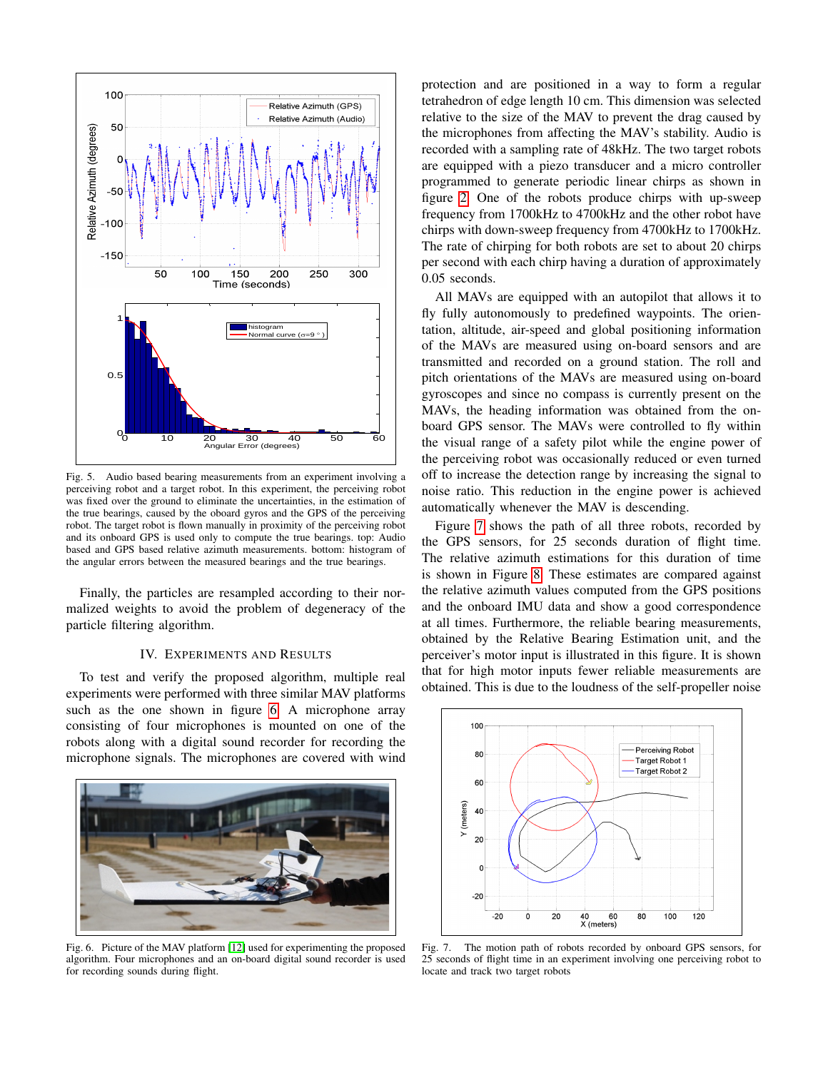

Fig. 5. Audio based bearing measurements from an experiment involving a perceiving robot and a target robot. In this experiment, the perceiving robot was fixed over the ground to eliminate the uncertainties, in the estimation of the true bearings, caused by the oboard gyros and the GPS of the perceiving robot. The target robot is flown manually in proximity of the perceiving robot and its onboard GPS is used only to compute the true bearings. top: Audio based and GPS based relative azimuth measurements. bottom: histogram of the angular errors between the measured bearings and the true bearings.

Finally, the particles are resampled according to their normalized weights to avoid the problem of degeneracy of the particle filtering algorithm.

# IV. EXPERIMENTS AND RESULTS

<span id="page-5-0"></span>To test and verify the proposed algorithm, multiple real experiments were performed with three similar MAV platforms such as the one shown in figure [6.](#page-5-1) A microphone array consisting of four microphones is mounted on one of the robots along with a digital sound recorder for recording the microphone signals. The microphones are covered with wind

<span id="page-5-1"></span>

Fig. 6. Picture of the MAV platform [\[12\]](#page-7-23) used for experimenting the proposed algorithm. Four microphones and an on-board digital sound recorder is used for recording sounds during flight.

protection and are positioned in a way to form a regular tetrahedron of edge length 10 cm. This dimension was selected relative to the size of the MAV to prevent the drag caused by the microphones from affecting the MAV's stability. Audio is recorded with a sampling rate of 48kHz. The two target robots are equipped with a piezo transducer and a micro controller programmed to generate periodic linear chirps as shown in figure [2.](#page-2-1) One of the robots produce chirps with up-sweep frequency from 1700kHz to 4700kHz and the other robot have chirps with down-sweep frequency from 4700kHz to 1700kHz. The rate of chirping for both robots are set to about 20 chirps per second with each chirp having a duration of approximately 0.05 seconds.

All MAVs are equipped with an autopilot that allows it to fly fully autonomously to predefined waypoints. The orientation, altitude, air-speed and global positioning information of the MAVs are measured using on-board sensors and are transmitted and recorded on a ground station. The roll and pitch orientations of the MAVs are measured using on-board gyroscopes and since no compass is currently present on the MAVs, the heading information was obtained from the onboard GPS sensor. The MAVs were controlled to fly within the visual range of a safety pilot while the engine power of the perceiving robot was occasionally reduced or even turned off to increase the detection range by increasing the signal to noise ratio. This reduction in the engine power is achieved automatically whenever the MAV is descending.

Figure [7](#page-5-2) shows the path of all three robots, recorded by the GPS sensors, for 25 seconds duration of flight time. The relative azimuth estimations for this duration of time is shown in Figure [8.](#page-6-6) These estimates are compared against the relative azimuth values computed from the GPS positions and the onboard IMU data and show a good correspondence at all times. Furthermore, the reliable bearing measurements, obtained by the Relative Bearing Estimation unit, and the perceiver's motor input is illustrated in this figure. It is shown that for high motor inputs fewer reliable measurements are obtained. This is due to the loudness of the self-propeller noise



<span id="page-5-2"></span>Fig. 7. The motion path of robots recorded by onboard GPS sensors, for 25 seconds of flight time in an experiment involving one perceiving robot to locate and track two target robots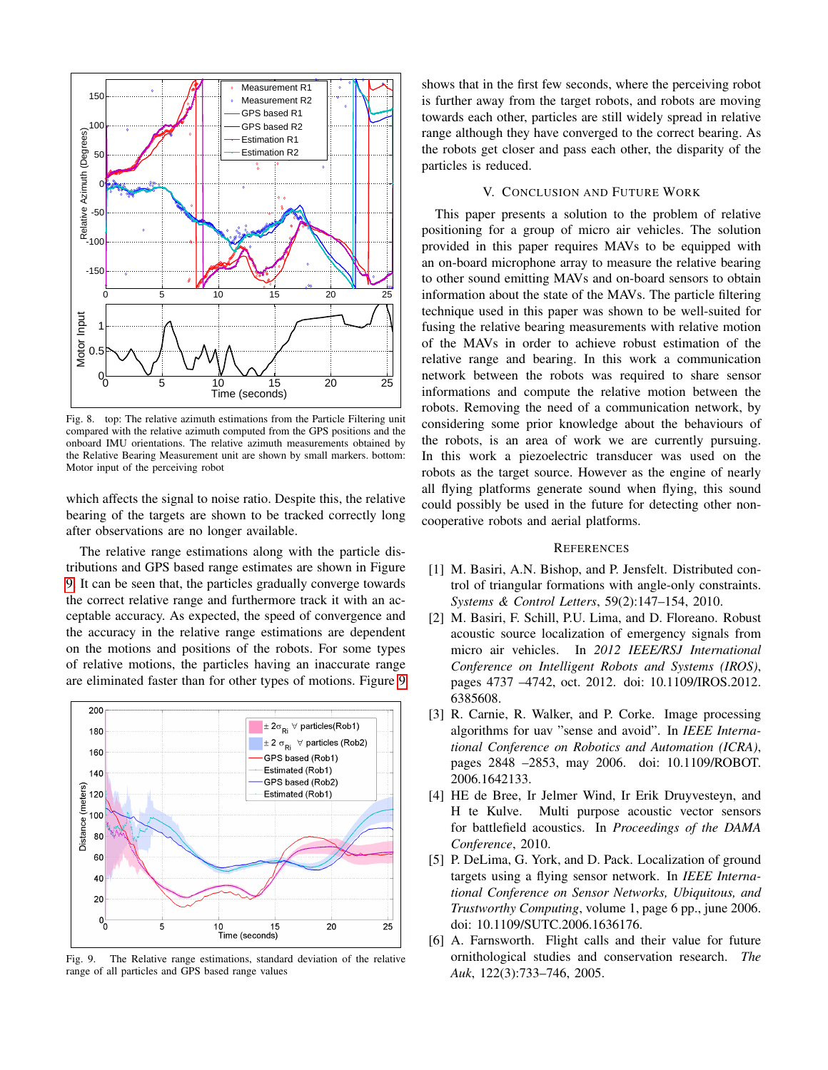

<span id="page-6-6"></span>Fig. 8. top: The relative azimuth estimations from the Particle Filtering unit compared with the relative azimuth computed from the GPS positions and the onboard IMU orientations. The relative azimuth measurements obtained by the Relative Bearing Measurement unit are shown by small markers. bottom: Motor input of the perceiving robot

which affects the signal to noise ratio. Despite this, the relative bearing of the targets are shown to be tracked correctly long after observations are no longer available.

The relative range estimations along with the particle distributions and GPS based range estimates are shown in Figure [9.](#page-6-7) It can be seen that, the particles gradually converge towards the correct relative range and furthermore track it with an acceptable accuracy. As expected, the speed of convergence and the accuracy in the relative range estimations are dependent on the motions and positions of the robots. For some types of relative motions, the particles having an inaccurate range are eliminated faster than for other types of motions. Figure [9](#page-6-7)



<span id="page-6-7"></span>Fig. 9. The Relative range estimations, standard deviation of the relative range of all particles and GPS based range values

shows that in the first few seconds, where the perceiving robot is further away from the target robots, and robots are moving towards each other, particles are still widely spread in relative range although they have converged to the correct bearing. As the robots get closer and pass each other, the disparity of the particles is reduced.

## V. CONCLUSION AND FUTURE WORK

This paper presents a solution to the problem of relative positioning for a group of micro air vehicles. The solution provided in this paper requires MAVs to be equipped with an on-board microphone array to measure the relative bearing to other sound emitting MAVs and on-board sensors to obtain information about the state of the MAVs. The particle filtering technique used in this paper was shown to be well-suited for fusing the relative bearing measurements with relative motion of the MAVs in order to achieve robust estimation of the relative range and bearing. In this work a communication network between the robots was required to share sensor informations and compute the relative motion between the robots. Removing the need of a communication network, by considering some prior knowledge about the behaviours of the robots, is an area of work we are currently pursuing. In this work a piezoelectric transducer was used on the robots as the target source. However as the engine of nearly all flying platforms generate sound when flying, this sound could possibly be used in the future for detecting other noncooperative robots and aerial platforms.

#### **REFERENCES**

- <span id="page-6-1"></span>[1] M. Basiri, A.N. Bishop, and P. Jensfelt. Distributed control of triangular formations with angle-only constraints. *Systems & Control Letters*, 59(2):147–154, 2010.
- <span id="page-6-0"></span>[2] M. Basiri, F. Schill, P.U. Lima, and D. Floreano. Robust acoustic source localization of emergency signals from micro air vehicles. In *2012 IEEE/RSJ International Conference on Intelligent Robots and Systems (IROS)*, pages 4737 –4742, oct. 2012. doi: 10.1109/IROS.2012. 6385608.
- <span id="page-6-2"></span>[3] R. Carnie, R. Walker, and P. Corke. Image processing algorithms for uav "sense and avoid". In *IEEE International Conference on Robotics and Automation (ICRA)*, pages 2848 –2853, may 2006. doi: 10.1109/ROBOT. 2006.1642133.
- <span id="page-6-5"></span>[4] HE de Bree, Ir Jelmer Wind, Ir Erik Druyvesteyn, and H te Kulve. Multi purpose acoustic vector sensors for battlefield acoustics. In *Proceedings of the DAMA Conference*, 2010.
- <span id="page-6-4"></span>[5] P. DeLima, G. York, and D. Pack. Localization of ground targets using a flying sensor network. In *IEEE International Conference on Sensor Networks, Ubiquitous, and Trustworthy Computing*, volume 1, page 6 pp., june 2006. doi: 10.1109/SUTC.2006.1636176.
- <span id="page-6-3"></span>[6] A. Farnsworth. Flight calls and their value for future ornithological studies and conservation research. *The Auk*, 122(3):733–746, 2005.